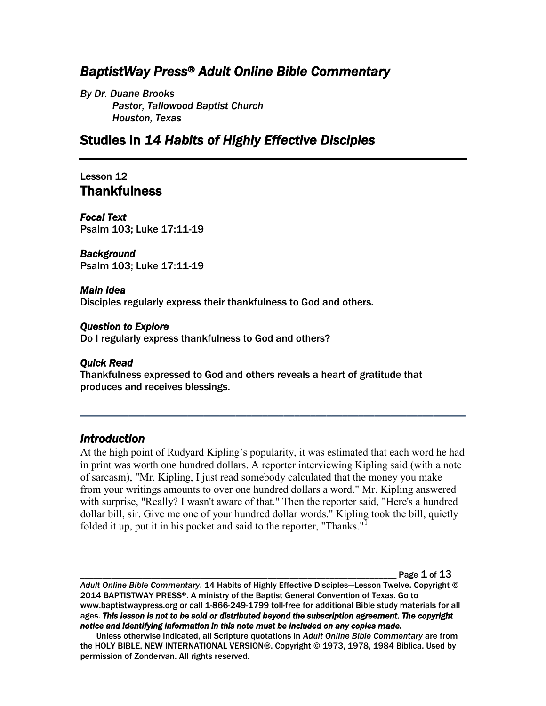# *BaptistWay Press® Adult Online Bible Commentary*

*By Dr. Duane Brooks Pastor, Tallowood Baptist Church Houston, Texas*

# Studies in *14 Habits of Highly Effective Disciples*

## Lesson 12 **Thankfulness**

*Focal Text*  Psalm 103; Luke 17:11-19

#### *Background*

Psalm 103; Luke 17:11-19

#### *Main Idea*

Disciples regularly express their thankfulness to God and others.

#### *Question to Explore*

Do I regularly express thankfulness to God and others?

#### *Quick Read*

Thankfulness expressed to God and others reveals a heart of gratitude that produces and receives blessings.

### *Introduction*

At the high point of Rudyard Kipling's popularity, it was estimated that each word he had in print was worth one hundred dollars. A reporter interviewing Kipling said (with a note of sarcasm), "Mr. Kipling, I just read somebody calculated that the money you make from your writings amounts to over one hundred dollars a word." Mr. Kipling answered with surprise, "Really? I wasn't aware of that." Then the reporter said, "Here's a hundred dollar bill, sir. Give me one of your hundred dollar words." Kipling took the bill, quietly folded it up, put it in his pocket and said to the reporter, "Thanks."<sup>1</sup>

*\_\_\_\_\_\_\_\_\_\_\_\_\_\_\_\_\_\_\_\_\_\_\_\_\_\_\_\_\_\_\_\_\_\_\_\_\_\_\_\_\_\_\_\_\_\_\_\_\_\_\_\_\_\_\_\_\_\_\_\_\_\_\_\_\_\_\_\_\_\_\_\_*

Page  $1$  of  $13$ 

*Adult Online Bible Commentary*. 14 Habits of Highly Effective Disciples—Lesson Twelve. Copyright © 2014 BAPTISTWAY PRESS®. A ministry of the Baptist General Convention of Texas. Go to www.baptistwaypress.org or call 1-866-249-1799 toll-free for additional Bible study materials for all ages. *This lesson is not to be sold or distributed beyond the subscription agreement. The copyright notice and identifying information in this note must be included on any copies made.* 

Unless otherwise indicated, all Scripture quotations in *Adult Online Bible Commentary* are from the HOLY BIBLE, NEW INTERNATIONAL VERSION®. Copyright © 1973, 1978, 1984 Biblica. Used by permission of Zondervan. All rights reserved.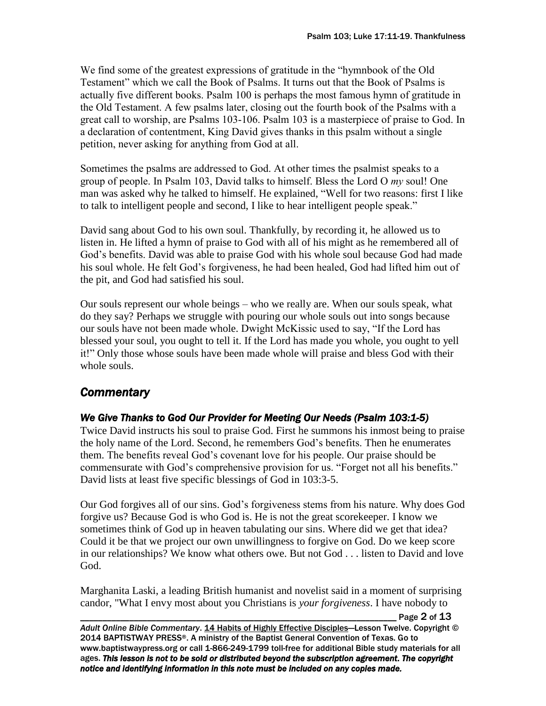We find some of the greatest expressions of gratitude in the "hymnbook of the Old Testament" which we call the Book of Psalms. It turns out that the Book of Psalms is actually five different books. Psalm 100 is perhaps the most famous hymn of gratitude in the Old Testament. A few psalms later, closing out the fourth book of the Psalms with a great call to worship, are Psalms 103-106. Psalm 103 is a masterpiece of praise to God. In a declaration of contentment, King David gives thanks in this psalm without a single petition, never asking for anything from God at all.

Sometimes the psalms are addressed to God. At other times the psalmist speaks to a group of people. In Psalm 103, David talks to himself. Bless the Lord O *my* soul! One man was asked why he talked to himself. He explained, "Well for two reasons: first I like to talk to intelligent people and second, I like to hear intelligent people speak."

David sang about God to his own soul. Thankfully, by recording it, he allowed us to listen in. He lifted a hymn of praise to God with all of his might as he remembered all of God's benefits. David was able to praise God with his whole soul because God had made his soul whole. He felt God's forgiveness, he had been healed, God had lifted him out of the pit, and God had satisfied his soul.

Our souls represent our whole beings – who we really are. When our souls speak, what do they say? Perhaps we struggle with pouring our whole souls out into songs because our souls have not been made whole. Dwight McKissic used to say, "If the Lord has blessed your soul, you ought to tell it. If the Lord has made you whole, you ought to yell it!" Only those whose souls have been made whole will praise and bless God with their whole souls.

# *Commentary*

## *We Give Thanks to God Our Provider for Meeting Our Needs (Psalm 103:1-5)*

Twice David instructs his soul to praise God. First he summons his inmost being to praise the holy name of the Lord. Second, he remembers God's benefits. Then he enumerates them. The benefits reveal God's covenant love for his people. Our praise should be commensurate with God's comprehensive provision for us. "Forget not all his benefits." David lists at least five specific blessings of God in 103:3-5.

Our God forgives all of our sins. God's forgiveness stems from his nature. Why does God forgive us? Because God is who God is. He is not the great scorekeeper. I know we sometimes think of God up in heaven tabulating our sins. Where did we get that idea? Could it be that we project our own unwillingness to forgive on God. Do we keep score in our relationships? We know what others owe. But not God . . . listen to David and love God.

Marghanita Laski, a leading British humanist and novelist said in a moment of surprising candor, "What I envy most about you Christians is *your forgiveness*. I have nobody to

Page  $2$  of  $13$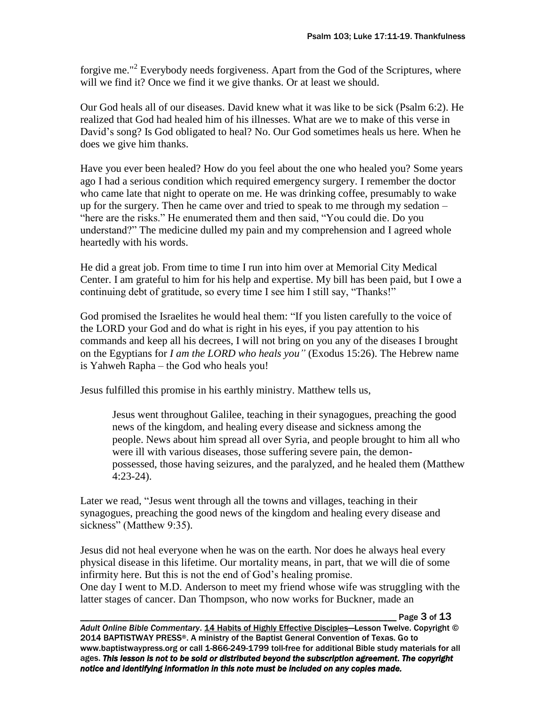forgive me."<sup>2</sup> Everybody needs forgiveness. Apart from the God of the Scriptures, where will we find it? Once we find it we give thanks. Or at least we should.

Our God heals all of our diseases. David knew what it was like to be sick (Psalm 6:2). He realized that God had healed him of his illnesses. What are we to make of this verse in David's song? Is God obligated to heal? No. Our God sometimes heals us here. When he does we give him thanks.

Have you ever been healed? How do you feel about the one who healed you? Some years ago I had a serious condition which required emergency surgery. I remember the doctor who came late that night to operate on me. He was drinking coffee, presumably to wake up for the surgery. Then he came over and tried to speak to me through my sedation – "here are the risks." He enumerated them and then said, "You could die. Do you understand?" The medicine dulled my pain and my comprehension and I agreed whole heartedly with his words.

He did a great job. From time to time I run into him over at Memorial City Medical Center. I am grateful to him for his help and expertise. My bill has been paid, but I owe a continuing debt of gratitude, so every time I see him I still say, "Thanks!"

God promised the Israelites he would heal them: "If you listen carefully to the voice of the LORD your God and do what is right in his eyes, if you pay attention to his commands and keep all his decrees, I will not bring on you any of the diseases I brought on the Egyptians for *I am the LORD who heals you"* (Exodus 15:26). The Hebrew name is Yahweh Rapha – the God who heals you!

Jesus fulfilled this promise in his earthly ministry. Matthew tells us,

Jesus went throughout Galilee, teaching in their synagogues, preaching the good news of the kingdom, and healing every disease and sickness among the people. News about him spread all over Syria, and people brought to him all who were ill with various diseases, those suffering severe pain, the demonpossessed, those having seizures, and the paralyzed, and he healed them (Matthew 4:23-24).

Later we read, "Jesus went through all the towns and villages, teaching in their synagogues, preaching the good news of the kingdom and healing every disease and sickness" (Matthew 9:35).

Jesus did not heal everyone when he was on the earth. Nor does he always heal every physical disease in this lifetime. Our mortality means, in part, that we will die of some infirmity here. But this is not the end of God's healing promise. One day I went to M.D. Anderson to meet my friend whose wife was struggling with the latter stages of cancer. Dan Thompson, who now works for Buckner, made an

Page 3 of 13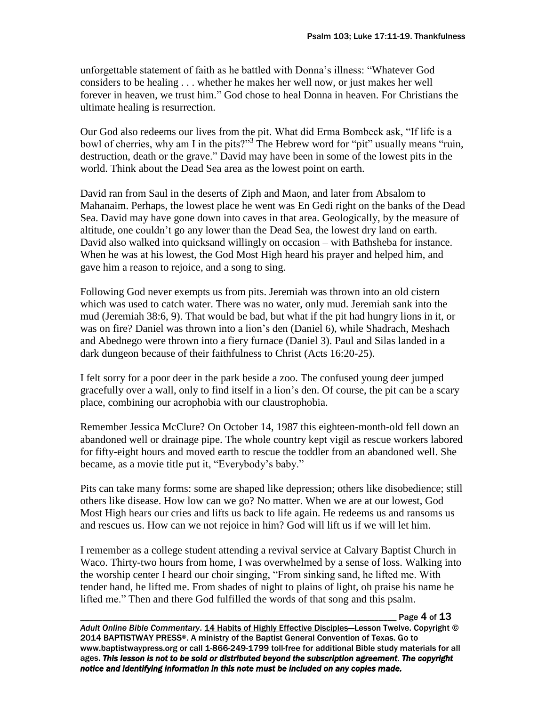unforgettable statement of faith as he battled with Donna's illness: "Whatever God considers to be healing . . . whether he makes her well now, or just makes her well forever in heaven, we trust him." God chose to heal Donna in heaven. For Christians the ultimate healing is resurrection.

Our God also redeems our lives from the pit. What did Erma Bombeck ask, "If life is a bowl of cherries, why am I in the pits?"<sup>3</sup> The Hebrew word for "pit" usually means "ruin, destruction, death or the grave." David may have been in some of the lowest pits in the world. Think about the Dead Sea area as the lowest point on earth.

David ran from Saul in the deserts of Ziph and Maon, and later from Absalom to Mahanaim. Perhaps, the lowest place he went was En Gedi right on the banks of the Dead Sea. David may have gone down into caves in that area. Geologically, by the measure of altitude, one couldn't go any lower than the Dead Sea, the lowest dry land on earth. David also walked into quicksand willingly on occasion – with Bathsheba for instance. When he was at his lowest, the God Most High heard his prayer and helped him, and gave him a reason to rejoice, and a song to sing.

Following God never exempts us from pits. Jeremiah was thrown into an old cistern which was used to catch water. There was no water, only mud. Jeremiah sank into the mud (Jeremiah 38:6, 9). That would be bad, but what if the pit had hungry lions in it, or was on fire? Daniel was thrown into a lion's den (Daniel 6), while Shadrach, Meshach and Abednego were thrown into a fiery furnace (Daniel 3). Paul and Silas landed in a dark dungeon because of their faithfulness to Christ (Acts 16:20-25).

I felt sorry for a poor deer in the park beside a zoo. The confused young deer jumped gracefully over a wall, only to find itself in a lion's den. Of course, the pit can be a scary place, combining our acrophobia with our claustrophobia.

Remember Jessica McClure? On October 14, 1987 this eighteen-month-old fell down an abandoned well or drainage pipe. The whole country kept vigil as rescue workers labored for fifty-eight hours and moved earth to rescue the toddler from an abandoned well. She became, as a movie title put it, "Everybody's baby."

Pits can take many forms: some are shaped like depression; others like disobedience; still others like disease. How low can we go? No matter. When we are at our lowest, God Most High hears our cries and lifts us back to life again. He redeems us and ransoms us and rescues us. How can we not rejoice in him? God will lift us if we will let him.

I remember as a college student attending a revival service at Calvary Baptist Church in Waco. Thirty-two hours from home, I was overwhelmed by a sense of loss. Walking into the worship center I heard our choir singing, "From sinking sand, he lifted me. With tender hand, he lifted me. From shades of night to plains of light, oh praise his name he lifted me." Then and there God fulfilled the words of that song and this psalm.

Page 4 of 13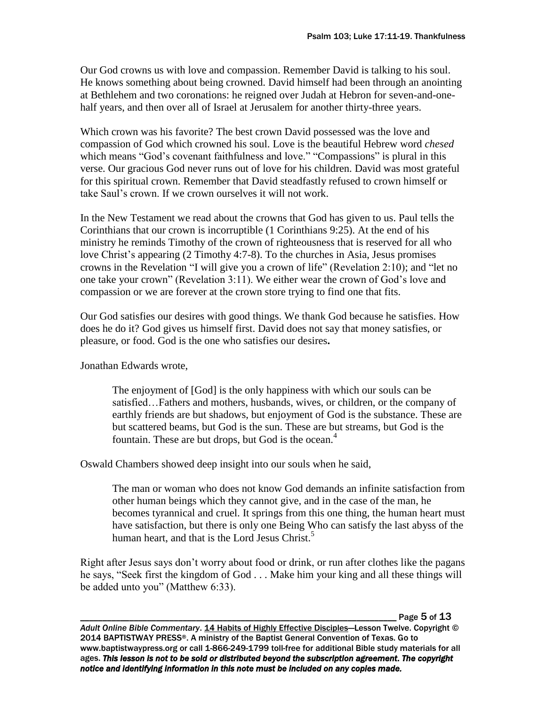Our God crowns us with love and compassion. Remember David is talking to his soul. He knows something about being crowned. David himself had been through an anointing at Bethlehem and two coronations: he reigned over Judah at Hebron for seven-and-onehalf years, and then over all of Israel at Jerusalem for another thirty-three years.

Which crown was his favorite? The best crown David possessed was the love and compassion of God which crowned his soul. Love is the beautiful Hebrew word *chesed* which means "God's covenant faithfulness and love." "Compassions" is plural in this verse. Our gracious God never runs out of love for his children. David was most grateful for this spiritual crown. Remember that David steadfastly refused to crown himself or take Saul's crown. If we crown ourselves it will not work.

In the New Testament we read about the crowns that God has given to us. Paul tells the Corinthians that our crown is incorruptible (1 Corinthians 9:25). At the end of his ministry he reminds Timothy of the crown of righteousness that is reserved for all who love Christ's appearing (2 Timothy 4:7-8). To the churches in Asia, Jesus promises crowns in the Revelation "I will give you a crown of life" (Revelation 2:10); and "let no one take your crown" (Revelation 3:11). We either wear the crown of God's love and compassion or we are forever at the crown store trying to find one that fits.

Our God satisfies our desires with good things. We thank God because he satisfies. How does he do it? God gives us himself first. David does not say that money satisfies, or pleasure, or food. God is the one who satisfies our desires**.**

Jonathan Edwards wrote,

The enjoyment of [God] is the only happiness with which our souls can be satisfied…Fathers and mothers, husbands, wives, or children, or the company of earthly friends are but shadows, but enjoyment of God is the substance. These are but scattered beams, but God is the sun. These are but streams, but God is the fountain. These are but drops, but God is the ocean. $4$ 

Oswald Chambers showed deep insight into our souls when he said,

The man or woman who does not know God demands an infinite satisfaction from other human beings which they cannot give, and in the case of the man, he becomes tyrannical and cruel. It springs from this one thing, the human heart must have satisfaction, but there is only one Being Who can satisfy the last abyss of the human heart, and that is the Lord Jesus Christ. $5$ 

Right after Jesus says don't worry about food or drink, or run after clothes like the pagans he says, "Seek first the kingdom of God . . . Make him your king and all these things will be added unto you" (Matthew 6:33).

Page 5 of 13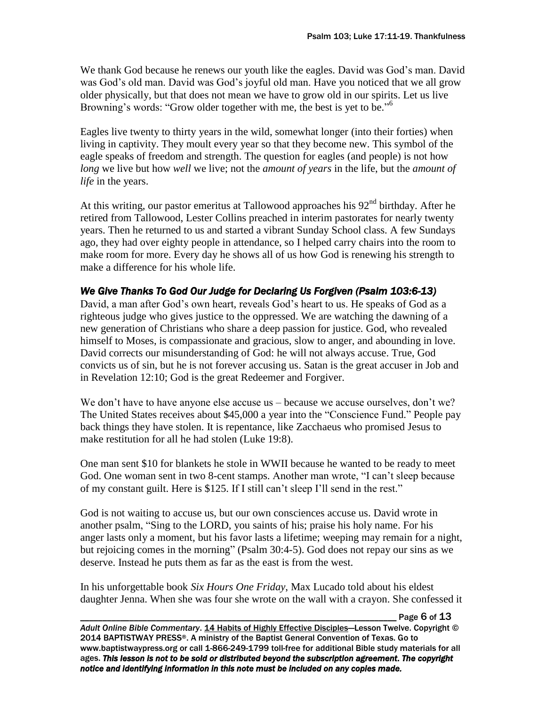We thank God because he renews our youth like the eagles. David was God's man. David was God's old man. David was God's joyful old man. Have you noticed that we all grow older physically, but that does not mean we have to grow old in our spirits. Let us live Browning's words: "Grow older together with me, the best is yet to be."<sup>6</sup>

Eagles live twenty to thirty years in the wild, somewhat longer (into their forties) when living in captivity. They moult every year so that they become new. This symbol of the eagle speaks of freedom and strength. The question for eagles (and people) is not how *long* we live but how *well* we live; not the *amount of years* in the life, but the *amount of life* in the years.

At this writing, our pastor emeritus at Tallowood approaches his  $92<sup>nd</sup>$  birthday. After he retired from Tallowood, Lester Collins preached in interim pastorates for nearly twenty years. Then he returned to us and started a vibrant Sunday School class. A few Sundays ago, they had over eighty people in attendance, so I helped carry chairs into the room to make room for more. Every day he shows all of us how God is renewing his strength to make a difference for his whole life.

### *We Give Thanks To God Our Judge for Declaring Us Forgiven (Psalm 103:6-13)*

David, a man after God's own heart, reveals God's heart to us. He speaks of God as a righteous judge who gives justice to the oppressed. We are watching the dawning of a new generation of Christians who share a deep passion for justice. God, who revealed himself to Moses, is compassionate and gracious, slow to anger, and abounding in love. David corrects our misunderstanding of God: he will not always accuse. True, God convicts us of sin, but he is not forever accusing us. Satan is the great accuser in Job and in Revelation 12:10; God is the great Redeemer and Forgiver.

We don't have to have anyone else accuse us – because we accuse ourselves, don't we? The United States receives about \$45,000 a year into the "Conscience Fund." People pay back things they have stolen. It is repentance, like Zacchaeus who promised Jesus to make restitution for all he had stolen (Luke 19:8).

One man sent \$10 for blankets he stole in WWII because he wanted to be ready to meet God. One woman sent in two 8-cent stamps. Another man wrote, "I can't sleep because of my constant guilt. Here is \$125. If I still can't sleep I'll send in the rest."

God is not waiting to accuse us, but our own consciences accuse us. David wrote in another psalm, "Sing to the LORD, you saints of his; praise his holy name. For his anger lasts only a moment, but his favor lasts a lifetime; weeping may remain for a night, but rejoicing comes in the morning" (Psalm 30:4-5). God does not repay our sins as we deserve. Instead he puts them as far as the east is from the west.

In his unforgettable book *Six Hours One Friday*, Max Lucado told about his eldest daughter Jenna. When she was four she wrote on the wall with a crayon. She confessed it

Page 6 of 13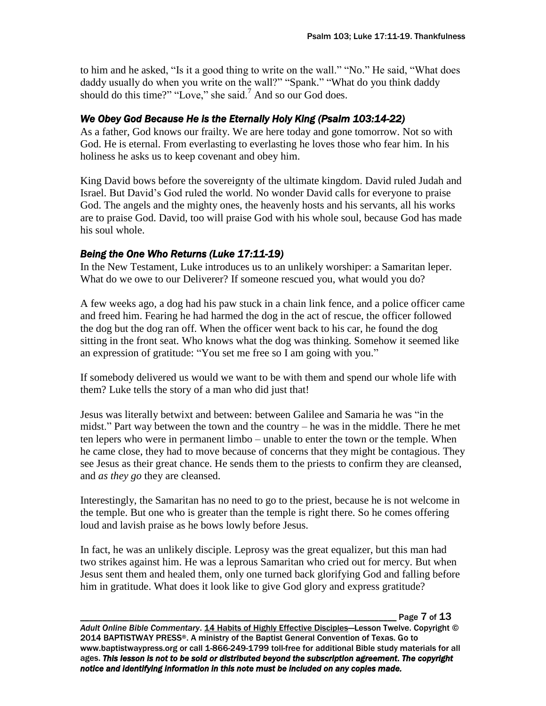to him and he asked, "Is it a good thing to write on the wall." "No." He said, "What does daddy usually do when you write on the wall?" "Spank." "What do you think daddy should do this time?" "Love," she said.<sup>7</sup> And so our God does.

## *We Obey God Because He is the Eternally Holy King (Psalm 103:14-22)*

As a father, God knows our frailty. We are here today and gone tomorrow. Not so with God. He is eternal. From everlasting to everlasting he loves those who fear him. In his holiness he asks us to keep covenant and obey him.

King David bows before the sovereignty of the ultimate kingdom. David ruled Judah and Israel. But David's God ruled the world. No wonder David calls for everyone to praise God. The angels and the mighty ones, the heavenly hosts and his servants, all his works are to praise God. David, too will praise God with his whole soul, because God has made his soul whole.

### *Being the One Who Returns (Luke 17:11-19)*

In the New Testament, Luke introduces us to an unlikely worshiper: a Samaritan leper. What do we owe to our Deliverer? If someone rescued you, what would you do?

A few weeks ago, a dog had his paw stuck in a chain link fence, and a police officer came and freed him. Fearing he had harmed the dog in the act of rescue, the officer followed the dog but the dog ran off. When the officer went back to his car, he found the dog sitting in the front seat. Who knows what the dog was thinking. Somehow it seemed like an expression of gratitude: "You set me free so I am going with you."

If somebody delivered us would we want to be with them and spend our whole life with them? Luke tells the story of a man who did just that!

Jesus was literally betwixt and between: between Galilee and Samaria he was "in the midst." Part way between the town and the country – he was in the middle. There he met ten lepers who were in permanent limbo – unable to enter the town or the temple. When he came close, they had to move because of concerns that they might be contagious. They see Jesus as their great chance. He sends them to the priests to confirm they are cleansed, and *as they go* they are cleansed.

Interestingly, the Samaritan has no need to go to the priest, because he is not welcome in the temple. But one who is greater than the temple is right there. So he comes offering loud and lavish praise as he bows lowly before Jesus.

In fact, he was an unlikely disciple. Leprosy was the great equalizer, but this man had two strikes against him. He was a leprous Samaritan who cried out for mercy. But when Jesus sent them and healed them, only one turned back glorifying God and falling before him in gratitude. What does it look like to give God glory and express gratitude?

Page 7 of 13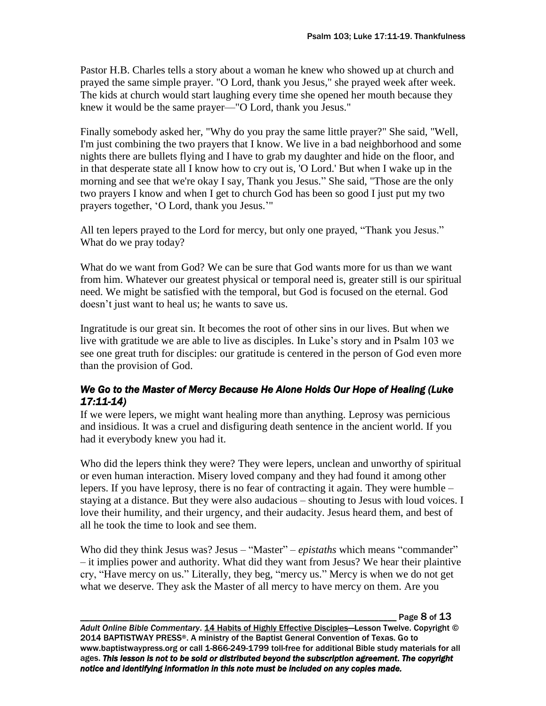Pastor H.B. Charles tells a story about a woman he knew who showed up at church and prayed the same simple prayer. "O Lord, thank you Jesus," she prayed week after week. The kids at church would start laughing every time she opened her mouth because they knew it would be the same prayer—"O Lord, thank you Jesus."

Finally somebody asked her, "Why do you pray the same little prayer?" She said, "Well, I'm just combining the two prayers that I know. We live in a bad neighborhood and some nights there are bullets flying and I have to grab my daughter and hide on the floor, and in that desperate state all I know how to cry out is, 'O Lord.' But when I wake up in the morning and see that we're okay I say, Thank you Jesus." She said, "Those are the only two prayers I know and when I get to church God has been so good I just put my two prayers together, 'O Lord, thank you Jesus.'"

All ten lepers prayed to the Lord for mercy, but only one prayed, "Thank you Jesus." What do we pray today?

What do we want from God? We can be sure that God wants more for us than we want from him. Whatever our greatest physical or temporal need is, greater still is our spiritual need. We might be satisfied with the temporal, but God is focused on the eternal. God doesn't just want to heal us; he wants to save us.

Ingratitude is our great sin. It becomes the root of other sins in our lives. But when we live with gratitude we are able to live as disciples. In Luke's story and in Psalm 103 we see one great truth for disciples: our gratitude is centered in the person of God even more than the provision of God.

### *We Go to the Master of Mercy Because He Alone Holds Our Hope of Healing (Luke 17:11-14)*

If we were lepers, we might want healing more than anything. Leprosy was pernicious and insidious. It was a cruel and disfiguring death sentence in the ancient world. If you had it everybody knew you had it.

Who did the lepers think they were? They were lepers, unclean and unworthy of spiritual or even human interaction. Misery loved company and they had found it among other lepers. If you have leprosy, there is no fear of contracting it again. They were humble – staying at a distance. But they were also audacious – shouting to Jesus with loud voices. I love their humility, and their urgency, and their audacity. Jesus heard them, and best of all he took the time to look and see them.

Who did they think Jesus was? Jesus – "Master" – *epistaths* which means "commander" – it implies power and authority. What did they want from Jesus? We hear their plaintive cry, "Have mercy on us." Literally, they beg, "mercy us." Mercy is when we do not get what we deserve. They ask the Master of all mercy to have mercy on them. Are you

Page 8 of 13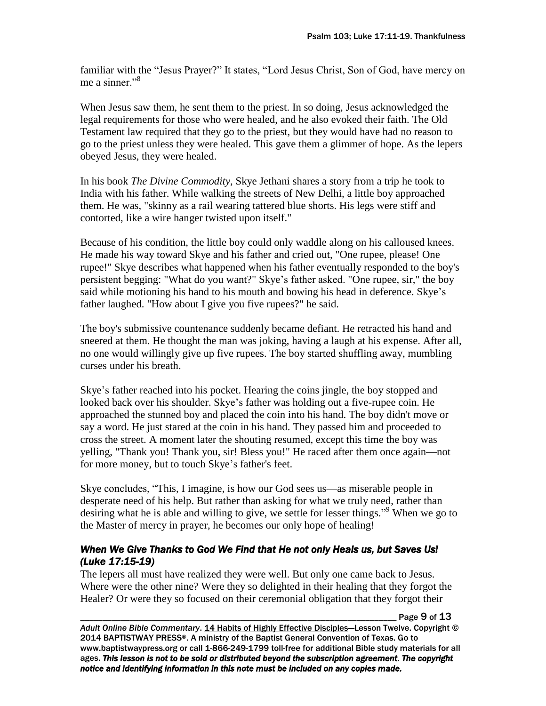familiar with the "Jesus Prayer?" It states, "Lord Jesus Christ, Son of God, have mercy on me a sinner $\cdot$ <sup>8</sup>

When Jesus saw them, he sent them to the priest. In so doing, Jesus acknowledged the legal requirements for those who were healed, and he also evoked their faith. The Old Testament law required that they go to the priest, but they would have had no reason to go to the priest unless they were healed. This gave them a glimmer of hope. As the lepers obeyed Jesus, they were healed.

In his book *The Divine Commodity*, Skye Jethani shares a story from a trip he took to India with his father. While walking the streets of New Delhi, a little boy approached them. He was, "skinny as a rail wearing tattered blue shorts. His legs were stiff and contorted, like a wire hanger twisted upon itself."

Because of his condition, the little boy could only waddle along on his calloused knees. He made his way toward Skye and his father and cried out, "One rupee, please! One rupee!" Skye describes what happened when his father eventually responded to the boy's persistent begging: "What do you want?" Skye's father asked. "One rupee, sir," the boy said while motioning his hand to his mouth and bowing his head in deference. Skye's father laughed. "How about I give you five rupees?" he said.

The boy's submissive countenance suddenly became defiant. He retracted his hand and sneered at them. He thought the man was joking, having a laugh at his expense. After all, no one would willingly give up five rupees. The boy started shuffling away, mumbling curses under his breath.

Skye's father reached into his pocket. Hearing the coins jingle, the boy stopped and looked back over his shoulder. Skye's father was holding out a five-rupee coin. He approached the stunned boy and placed the coin into his hand. The boy didn't move or say a word. He just stared at the coin in his hand. They passed him and proceeded to cross the street. A moment later the shouting resumed, except this time the boy was yelling, "Thank you! Thank you, sir! Bless you!" He raced after them once again—not for more money, but to touch Skye's father's feet.

Skye concludes, "This, I imagine, is how our God sees us—as miserable people in desperate need of his help. But rather than asking for what we truly need, rather than desiring what he is able and willing to give, we settle for lesser things."<sup>9</sup> When we go to the Master of mercy in prayer, he becomes our only hope of healing!

### *When We Give Thanks to God We Find that He not only Heals us, but Saves Us! (Luke 17:15-19)*

The lepers all must have realized they were well. But only one came back to Jesus. Where were the other nine? Were they so delighted in their healing that they forgot the Healer? Or were they so focused on their ceremonial obligation that they forgot their

Page 9 of 13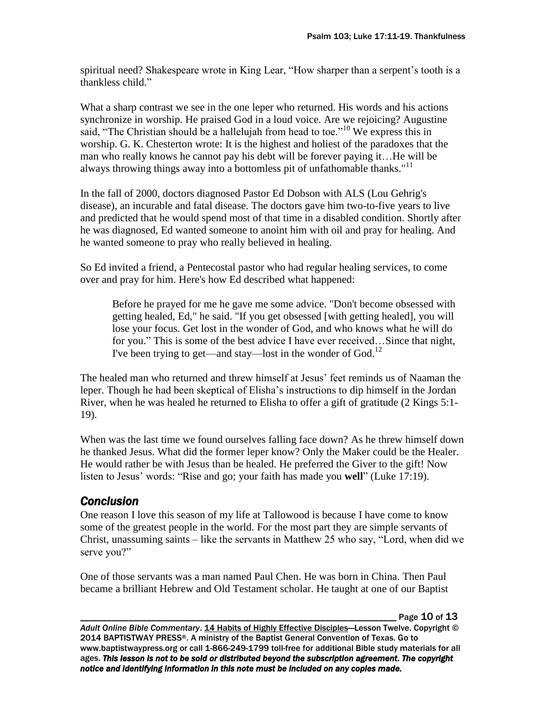spiritual need? Shakespeare wrote in King Lear, "How sharper than a serpent's tooth is a thankless child."

What a sharp contrast we see in the one leper who returned. His words and his actions synchronize in worship. He praised God in a loud voice. Are we rejoicing? Augustine said, "The Christian should be a hallelujah from head to toe."<sup>10</sup> We express this in worship. G. K. Chesterton wrote: It is the highest and holiest of the paradoxes that the man who really knows he cannot pay his debt will be forever paying it... He will be always throwing things away into a bottomless pit of unfathomable thanks."<sup>11</sup>

In the fall of 2000, doctors diagnosed Pastor Ed Dobson with ALS (Lou Gehrig's disease), an incurable and fatal disease. The doctors gave him two-to-five years to live and predicted that he would spend most of that time in a disabled condition. Shortly after he was diagnosed, Ed wanted someone to anoint him with oil and pray for healing. And he wanted someone to pray who really believed in healing.

So Ed invited a friend, a Pentecostal pastor who had regular healing services, to come over and pray for him. Here's how Ed described what happened:

Before he prayed for me he gave me some advice. "Don't become obsessed with getting healed, Ed," he said. "If you get obsessed [with getting healed], you will lose your focus. Get lost in the wonder of God, and who knows what he will do for you." This is some of the best advice I have ever received…Since that night, I've been trying to get—and stay—lost in the wonder of God.<sup>12</sup>

The healed man who returned and threw himself at Jesus' feet reminds us of Naaman the leper. Though he had been skeptical of Elisha's instructions to dip himself in the Jordan River, when he was healed he returned to Elisha to offer a gift of gratitude (2 Kings 5:1- 19).

When was the last time we found ourselves falling face down? As he threw himself down he thanked Jesus. What did the former leper know? Only the Maker could be the Healer. He would rather be with Jesus than be healed. He preferred the Giver to the gift! Now listen to Jesus' words: "Rise and go; your faith has made you **well**" (Luke 17:19).

# *Conclusion*

One reason I love this season of my life at Tallowood is because I have come to know some of the greatest people in the world. For the most part they are simple servants of Christ, unassuming saints – like the servants in Matthew 25 who say, "Lord, when did we serve you?"

One of those servants was a man named Paul Chen. He was born in China. Then Paul became a brilliant Hebrew and Old Testament scholar. He taught at one of our Baptist

Page 10 of 13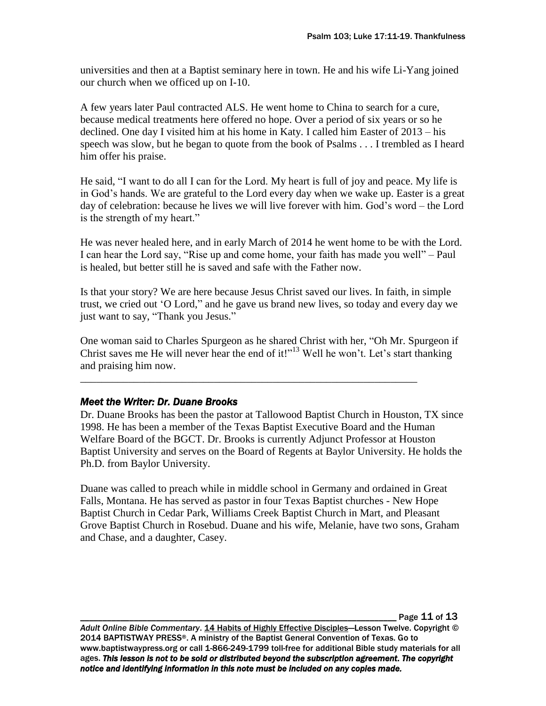universities and then at a Baptist seminary here in town. He and his wife Li-Yang joined our church when we officed up on I-10.

A few years later Paul contracted ALS. He went home to China to search for a cure, because medical treatments here offered no hope. Over a period of six years or so he declined. One day I visited him at his home in Katy. I called him Easter of 2013 – his speech was slow, but he began to quote from the book of Psalms . . . I trembled as I heard him offer his praise.

He said, "I want to do all I can for the Lord. My heart is full of joy and peace. My life is in God's hands. We are grateful to the Lord every day when we wake up. Easter is a great day of celebration: because he lives we will live forever with him. God's word – the Lord is the strength of my heart."

He was never healed here, and in early March of 2014 he went home to be with the Lord. I can hear the Lord say, "Rise up and come home, your faith has made you well" – Paul is healed, but better still he is saved and safe with the Father now.

Is that your story? We are here because Jesus Christ saved our lives. In faith, in simple trust, we cried out 'O Lord," and he gave us brand new lives, so today and every day we just want to say, "Thank you Jesus."

One woman said to Charles Spurgeon as he shared Christ with her, "Oh Mr. Spurgeon if Christ saves me He will never hear the end of it!"<sup>13</sup> Well he won't. Let's start thanking and praising him now.

\_\_\_\_\_\_\_\_\_\_\_\_\_\_\_\_\_\_\_\_\_\_\_\_\_\_\_\_\_\_\_\_\_\_\_\_\_\_\_\_\_\_\_\_\_\_\_\_\_\_\_\_\_\_\_\_\_\_\_\_\_\_\_

### *Meet the Writer: Dr. Duane Brooks*

Dr. Duane Brooks has been the pastor at Tallowood Baptist Church in Houston, TX since 1998. He has been a member of the Texas Baptist Executive Board and the Human Welfare Board of the BGCT. Dr. Brooks is currently Adjunct Professor at Houston Baptist University and serves on the Board of Regents at Baylor University. He holds the Ph.D. from Baylor University.

Duane was called to preach while in middle school in Germany and ordained in Great Falls, Montana. He has served as pastor in four Texas Baptist churches - New Hope Baptist Church in Cedar Park, Williams Creek Baptist Church in Mart, and Pleasant Grove Baptist Church in Rosebud. Duane and his wife, Melanie, have two sons, Graham and Chase, and a daughter, Casey.

Page 11 of 13

Adult Online Bible Commentary. 14 Habits of Highly Effective Disciples—Lesson Twelve. Copyright © 2014 BAPTISTWAY PRESS®. A ministry of the Baptist General Convention of Texas. Go to www.baptistwaypress.org or call 1-866-249-1799 toll-free for additional Bible study materials for all ages. *This lesson is not to be sold or distributed beyond the subscription agreement. The copyright notice and identifying information in this note must be included on any copies made.*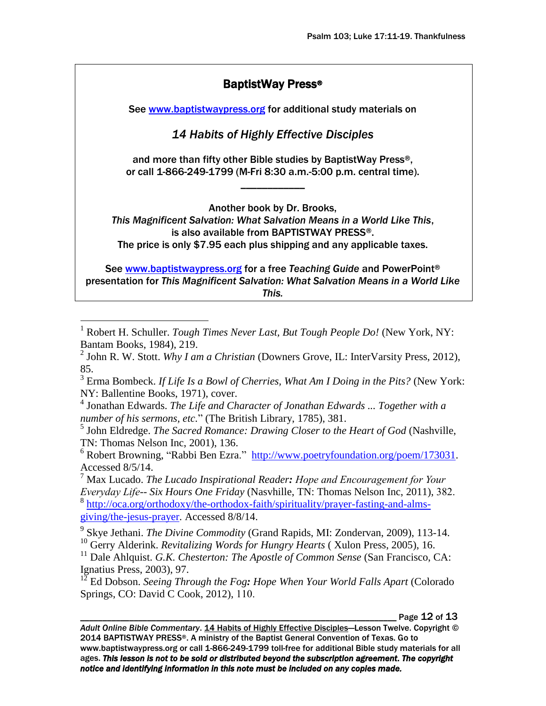## BaptistWay Press®

See [www.baptistwaypress.org](http://www.baptistwaypress.org/) for additional study materials on

*14 Habits of Highly Effective Disciples* 

and more than fifty other Bible studies by BaptistWay Press®, or call 1-866-249-1799 (M-Fri 8:30 a.m.-5:00 p.m. central time).

\_\_\_\_\_\_\_\_\_\_\_\_

Another book by Dr. Brooks,

*This Magnificent Salvation: What Salvation Means in a World Like This*, is also available from BAPTISTWAY PRESS®. The price is only \$7.95 each plus shipping and any applicable taxes.

See [www.baptistwaypress.org](http://www.baptistwaypress.org/) for a free *Teaching Guide* and PowerPoint® presentation for *This Magnificent Salvation: What Salvation Means in a World Like This.*

<sup>1</sup> Robert H. Schuller. *Tough Times Never Last, But Tough People Do!* (New York, NY: Bantam Books, 1984), 219.

 $\overline{a}$ 

2 John R. W. Stott. *Why I am a Christian* (Downers Grove, IL: InterVarsity Press, 2012), 85.

3 Erma Bombeck. *If Life Is a Bowl of Cherries, What Am I Doing in the Pits?* (New York: NY: Ballentine Books, 1971), cover.

4 Jonathan Edwards. *The Life and Character of Jonathan Edwards ... Together with a number of his sermons, etc.*" (The British Library, 1785), 381.

5 John Eldredge. *The Sacred Romance: Drawing Closer to the Heart of God* (Nashville, TN: Thomas Nelson Inc, 2001), 136.

 $6$  Robert Browning, "Rabbi Ben Ezra." [http://www.poetryfoundation.org/poem/173031.](http://www.poetryfoundation.org/poem/173031) Accessed 8/5/14.

Max Lucado. *The Lucado Inspirational Reader*: *Hope and Encouragement for Your Everyday Life-- Six Hours One Friday* (Nasyhille, TN: Thomas Nelson Inc, 2011), 382. <sup>8</sup> [http://oca.org/orthodoxy/the-orthodox-faith/spirituality/prayer-fasting-and-alms](http://oca.org/orthodoxy/the-orthodox-faith/spirituality/prayer-fasting-and-alms-giving/the-jesus-prayer)[giving/the-jesus-prayer.](http://oca.org/orthodoxy/the-orthodox-faith/spirituality/prayer-fasting-and-alms-giving/the-jesus-prayer) Accessed 8/8/14.

9 Skye Jethani. *The Divine Commodity* (Grand Rapids, MI: Zondervan, 2009), 113-14. <sup>10</sup> Gerry Alderink. *Revitalizing Words for Hungry Hearts* ( Xulon Press, 2005), 16.

<sup>11</sup> Dale Ahlquist. *G.K. Chesterton: The Apostle of Common Sense* (San Francisco, CA: Ignatius Press, 2003), 97.

<sup>12</sup> Ed Dobson. *Seeing Through the Fog: Hope When Your World Falls Apart* (Colorado Springs, CO: David C Cook, 2012), 110.

Page 12 of 13

Adult Online Bible Commentary. 14 Habits of Highly Effective Disciples-Lesson Twelve. Copyright © 2014 BAPTISTWAY PRESS®. A ministry of the Baptist General Convention of Texas. Go to www.baptistwaypress.org or call 1-866-249-1799 toll-free for additional Bible study materials for all ages. *This lesson is not to be sold or distributed beyond the subscription agreement. The copyright notice and identifying information in this note must be included on any copies made.*